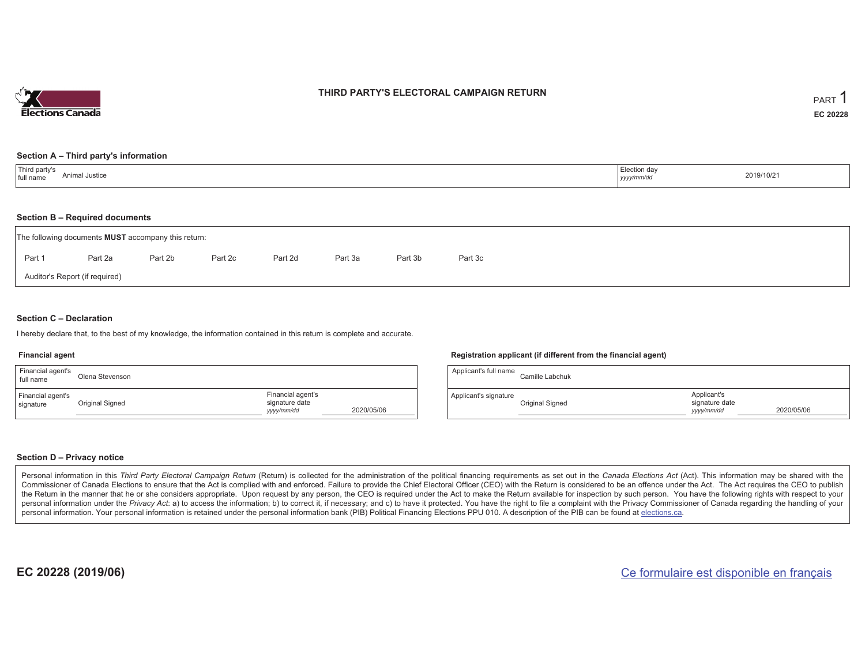

## **THIRD PARTY'S ELECTORAL CAMPAIGN RETURN**

#### **Section A – Third party's information**

| Third party's | Election day |
|---------------|--------------|
| Animal J      |              |
| Justice       | 2019/10/21   |
| full name     | yyyy/mm/dd   |

#### **Section B – Required documents**

|        | The following documents <b>MUST</b> accompany this return: |         |         |         |         |         |         |  |  |
|--------|------------------------------------------------------------|---------|---------|---------|---------|---------|---------|--|--|
| Part 1 | Part 2a                                                    | Part 2b | Part 2c | Part 2d | Part 3a | Part 3b | Part 3c |  |  |
|        | Auditor's Report (if required)                             |         |         |         |         |         |         |  |  |

### **Section C – Declaration**

I hereby declare that, to the best of my knowledge, the information contained in this return is complete and accurate.

#### **Financial agent**

| Financial agent's<br>full name | Olena Stevenson |                                                   |            |
|--------------------------------|-----------------|---------------------------------------------------|------------|
| Financial agent's<br>signature | Original Signed | Financial agent's<br>signature date<br>yyyy/mm/dd | 2020/05/06 |

#### **Registration applicant (if different from the financial agent)**

| Applicant's full name | Camille Labchuk |                                             |            |
|-----------------------|-----------------|---------------------------------------------|------------|
| Applicant's signature | Original Signed | Applicant's<br>signature date<br>yyyy/mm/dd | 2020/05/06 |

### **Section D – Privacy notice**

Personal information in this Third Party Electoral Campaign Return (Return) is collected for the administration of the political financing requirements as set out in the Canada Elections Act (Act). This information may be Commissioner of Canada Elections to ensure that the Act is complied with and enforced. Failure to provide the Chief Electoral Officer (CEO) with the Return is considered to be an offence under the Act. The Act requires the the Return in the manner that he or she considers appropriate. Upon request by any person, the CEO is required under the Act to make the Return available for inspection by such person. You have the following rights with re personal information under the Privacy Act: a) to access the information; b) to correct it, if necessary; and c) to have it protected. You have the right to file a complaint with the Privacy Commissioner of Canada regardin personal information. Your personal information is retained under the personal information bank (PIB) Political Financing Elections PPU 010. A description of the PIB can be found at elections.ca.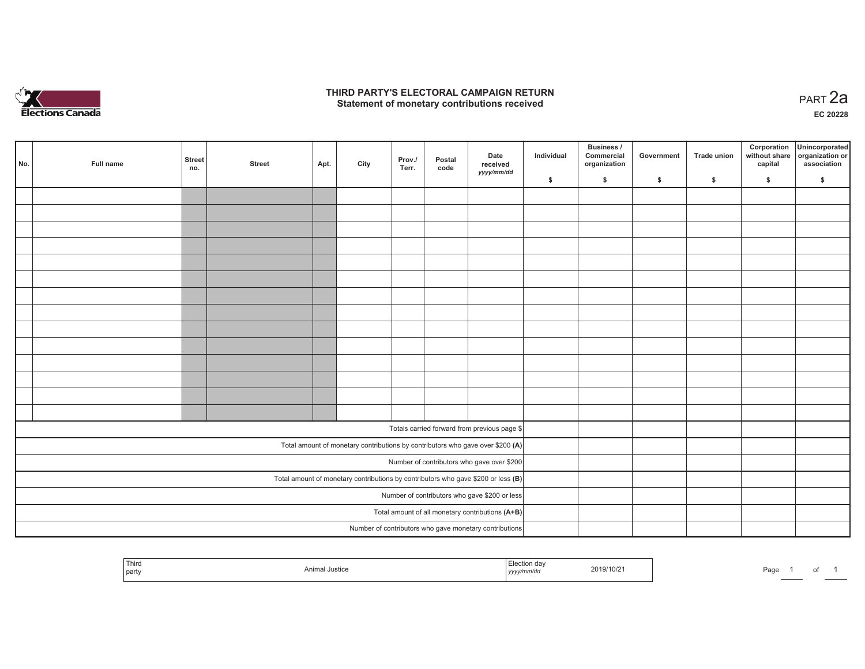

## **THIRD PARTY'S ELECTORAL CAMPAIGN RETURN HIRD PARTY'S ELECTORAL CAMPAIGN RETURN<br>Statement of monetary contributions received PART 2a**

**EC 20228**

| No.                                                                                                                            | Full name | <b>Street</b><br>no. | <b>Street</b> | Apt. | City | Prov./<br>Terr. | Postal<br>code | Date<br>received<br>yyyy/mm/dd                         | Individual | <b>Business /</b><br>Commercial<br>organization | Government | Trade union  | Corporation<br>capital | Unincorporated<br>without share organization or<br>association |
|--------------------------------------------------------------------------------------------------------------------------------|-----------|----------------------|---------------|------|------|-----------------|----------------|--------------------------------------------------------|------------|-------------------------------------------------|------------|--------------|------------------------|----------------------------------------------------------------|
|                                                                                                                                |           |                      |               |      |      |                 |                |                                                        | \$         | \$                                              | \$         | $\mathbf{s}$ | \$                     | \$                                                             |
|                                                                                                                                |           |                      |               |      |      |                 |                |                                                        |            |                                                 |            |              |                        |                                                                |
|                                                                                                                                |           |                      |               |      |      |                 |                |                                                        |            |                                                 |            |              |                        |                                                                |
|                                                                                                                                |           |                      |               |      |      |                 |                |                                                        |            |                                                 |            |              |                        |                                                                |
|                                                                                                                                |           |                      |               |      |      |                 |                |                                                        |            |                                                 |            |              |                        |                                                                |
|                                                                                                                                |           |                      |               |      |      |                 |                |                                                        |            |                                                 |            |              |                        |                                                                |
|                                                                                                                                |           |                      |               |      |      |                 |                |                                                        |            |                                                 |            |              |                        |                                                                |
|                                                                                                                                |           |                      |               |      |      |                 |                |                                                        |            |                                                 |            |              |                        |                                                                |
|                                                                                                                                |           |                      |               |      |      |                 |                |                                                        |            |                                                 |            |              |                        |                                                                |
|                                                                                                                                |           |                      |               |      |      |                 |                |                                                        |            |                                                 |            |              |                        |                                                                |
|                                                                                                                                |           |                      |               |      |      |                 |                |                                                        |            |                                                 |            |              |                        |                                                                |
|                                                                                                                                |           |                      |               |      |      |                 |                |                                                        |            |                                                 |            |              |                        |                                                                |
|                                                                                                                                |           |                      |               |      |      |                 |                |                                                        |            |                                                 |            |              |                        |                                                                |
|                                                                                                                                |           |                      |               |      |      |                 |                |                                                        |            |                                                 |            |              |                        |                                                                |
|                                                                                                                                |           |                      |               |      |      |                 |                |                                                        |            |                                                 |            |              |                        |                                                                |
|                                                                                                                                |           |                      |               |      |      |                 |                |                                                        |            |                                                 |            |              |                        |                                                                |
| Totals carried forward from previous page \$<br>Total amount of monetary contributions by contributors who gave over \$200 (A) |           |                      |               |      |      |                 |                |                                                        |            |                                                 |            |              |                        |                                                                |
|                                                                                                                                |           |                      |               |      |      |                 |                |                                                        |            |                                                 |            |              |                        |                                                                |
| Number of contributors who gave over \$200                                                                                     |           |                      |               |      |      |                 |                |                                                        |            |                                                 |            |              |                        |                                                                |
| Total amount of monetary contributions by contributors who gave \$200 or less $(B)$                                            |           |                      |               |      |      |                 |                |                                                        |            |                                                 |            |              |                        |                                                                |
| Number of contributors who gave \$200 or less                                                                                  |           |                      |               |      |      |                 |                |                                                        |            |                                                 |            |              |                        |                                                                |
| Total amount of all monetary contributions (A+B)                                                                               |           |                      |               |      |      |                 |                |                                                        |            |                                                 |            |              |                        |                                                                |
|                                                                                                                                |           |                      |               |      |      |                 |                | Number of contributors who gave monetary contributions |            |                                                 |            |              |                        |                                                                |

|  | Third<br>party |  | ,,,,,<br><del></del> | 019/10/ | Page |  | . . |  |
|--|----------------|--|----------------------|---------|------|--|-----|--|
|--|----------------|--|----------------------|---------|------|--|-----|--|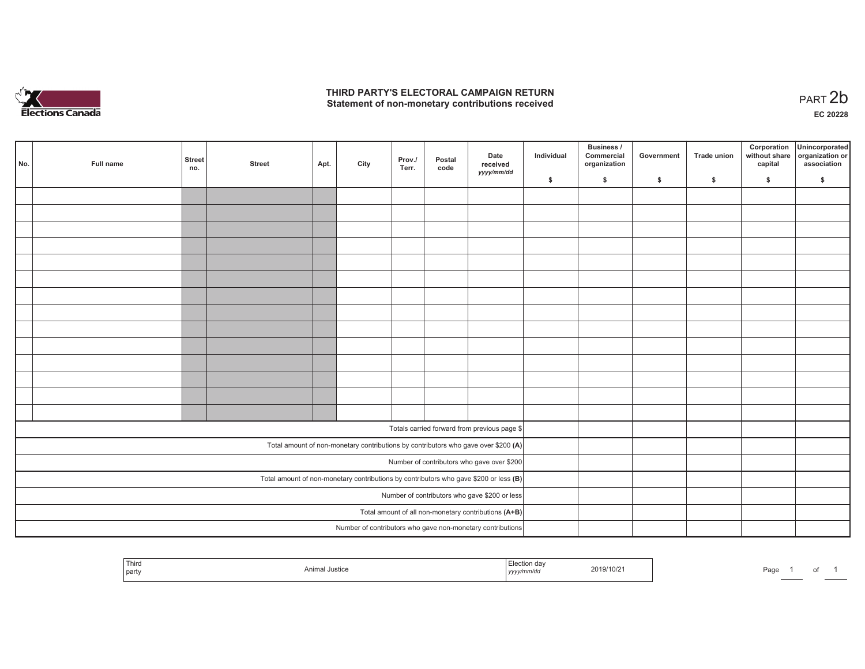

## **THIRD PARTY'S ELECTORAL CAMPAIGN RETURN**  THIRD PARTY'S ELECTORAL CAMPAIGN RETURN<br>Statement of non-monetary contributions received<br> **PART 2b**

1 of 1

| No.                                                                                     | Full name | <b>Street</b><br>no. | <b>Street</b> | Apt. | City | Prov./<br>Terr. | Postal<br>code | Date<br>received<br>yyyy/mm/dd                             | Individual | <b>Business /</b><br>Commercial<br>organization | Government   | Trade union  | Corporation<br>capital | Unincorporated<br>without share organization or<br>association |
|-----------------------------------------------------------------------------------------|-----------|----------------------|---------------|------|------|-----------------|----------------|------------------------------------------------------------|------------|-------------------------------------------------|--------------|--------------|------------------------|----------------------------------------------------------------|
|                                                                                         |           |                      |               |      |      |                 |                |                                                            | \$         | \$                                              | $\mathsf{s}$ | $\mathbf{s}$ | \$                     | \$                                                             |
|                                                                                         |           |                      |               |      |      |                 |                |                                                            |            |                                                 |              |              |                        |                                                                |
|                                                                                         |           |                      |               |      |      |                 |                |                                                            |            |                                                 |              |              |                        |                                                                |
|                                                                                         |           |                      |               |      |      |                 |                |                                                            |            |                                                 |              |              |                        |                                                                |
|                                                                                         |           |                      |               |      |      |                 |                |                                                            |            |                                                 |              |              |                        |                                                                |
|                                                                                         |           |                      |               |      |      |                 |                |                                                            |            |                                                 |              |              |                        |                                                                |
|                                                                                         |           |                      |               |      |      |                 |                |                                                            |            |                                                 |              |              |                        |                                                                |
|                                                                                         |           |                      |               |      |      |                 |                |                                                            |            |                                                 |              |              |                        |                                                                |
|                                                                                         |           |                      |               |      |      |                 |                |                                                            |            |                                                 |              |              |                        |                                                                |
|                                                                                         |           |                      |               |      |      |                 |                |                                                            |            |                                                 |              |              |                        |                                                                |
|                                                                                         |           |                      |               |      |      |                 |                |                                                            |            |                                                 |              |              |                        |                                                                |
|                                                                                         |           |                      |               |      |      |                 |                |                                                            |            |                                                 |              |              |                        |                                                                |
|                                                                                         |           |                      |               |      |      |                 |                |                                                            |            |                                                 |              |              |                        |                                                                |
|                                                                                         |           |                      |               |      |      |                 |                |                                                            |            |                                                 |              |              |                        |                                                                |
|                                                                                         |           |                      |               |      |      |                 |                |                                                            |            |                                                 |              |              |                        |                                                                |
|                                                                                         |           |                      |               |      |      |                 |                |                                                            |            |                                                 |              |              |                        |                                                                |
| Totals carried forward from previous page \$                                            |           |                      |               |      |      |                 |                |                                                            |            |                                                 |              |              |                        |                                                                |
| Total amount of non-monetary contributions by contributors who gave over \$200 (A)      |           |                      |               |      |      |                 |                |                                                            |            |                                                 |              |              |                        |                                                                |
| Number of contributors who gave over \$200                                              |           |                      |               |      |      |                 |                |                                                            |            |                                                 |              |              |                        |                                                                |
| Total amount of non-monetary contributions by contributors who gave \$200 or less $(B)$ |           |                      |               |      |      |                 |                |                                                            |            |                                                 |              |              |                        |                                                                |
| Number of contributors who gave \$200 or less                                           |           |                      |               |      |      |                 |                |                                                            |            |                                                 |              |              |                        |                                                                |
| Total amount of all non-monetary contributions (A+B)                                    |           |                      |               |      |      |                 |                |                                                            |            |                                                 |              |              |                        |                                                                |
|                                                                                         |           |                      |               |      |      |                 |                | Number of contributors who gave non-monetary contributions |            |                                                 |              |              |                        |                                                                |

| Third<br>- -<br>party | \nim.<br>Justice | da'<br>:uuu<br><i>m/di</i><br>,,,,, | 2019/10/2 | Page |
|-----------------------|------------------|-------------------------------------|-----------|------|
|                       |                  |                                     |           |      |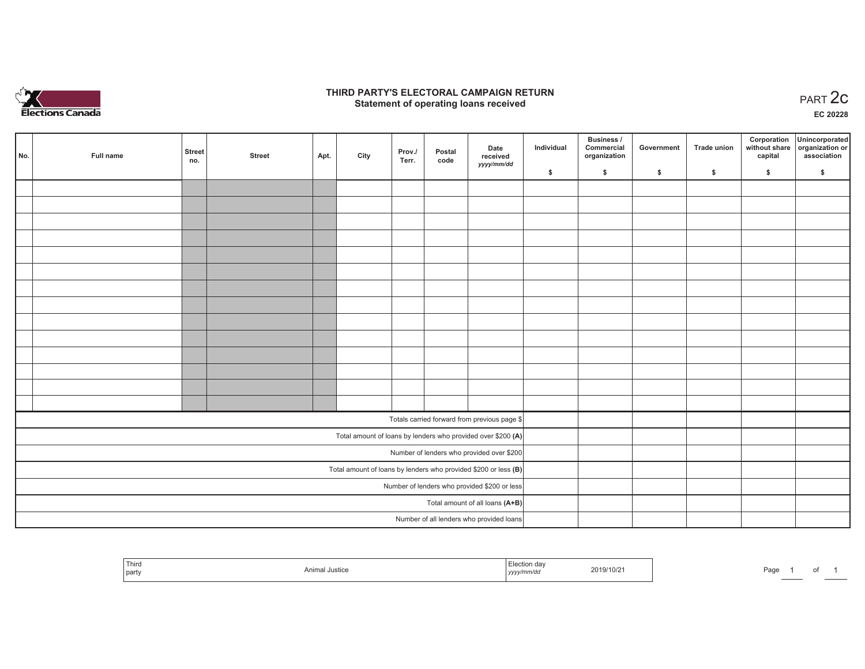

## **THIRD PARTY'S ELECTORAL CAMPAIGN RETURN STATE:** PARTY'S ELECTORAL CAMPAIGN RETURN<br>
Statement of operating loans received

**EC 20228**

| No.                                                               | Full name | <b>Street</b><br>no. | <b>Street</b> | Apt. | City | Prov./<br>Terr. | Postal<br>code | Date<br>received                             | Individual | Business /<br>Commercial<br>organization | Government | Trade union | Corporation<br>capital | Unincorporated<br>without share organization or<br>association |
|-------------------------------------------------------------------|-----------|----------------------|---------------|------|------|-----------------|----------------|----------------------------------------------|------------|------------------------------------------|------------|-------------|------------------------|----------------------------------------------------------------|
|                                                                   |           |                      |               |      |      |                 |                | yyyy/mm/dd                                   | \$         | \$                                       | \$         | \$          | \$                     | \$                                                             |
|                                                                   |           |                      |               |      |      |                 |                |                                              |            |                                          |            |             |                        |                                                                |
|                                                                   |           |                      |               |      |      |                 |                |                                              |            |                                          |            |             |                        |                                                                |
|                                                                   |           |                      |               |      |      |                 |                |                                              |            |                                          |            |             |                        |                                                                |
|                                                                   |           |                      |               |      |      |                 |                |                                              |            |                                          |            |             |                        |                                                                |
|                                                                   |           |                      |               |      |      |                 |                |                                              |            |                                          |            |             |                        |                                                                |
|                                                                   |           |                      |               |      |      |                 |                |                                              |            |                                          |            |             |                        |                                                                |
|                                                                   |           |                      |               |      |      |                 |                |                                              |            |                                          |            |             |                        |                                                                |
|                                                                   |           |                      |               |      |      |                 |                |                                              |            |                                          |            |             |                        |                                                                |
|                                                                   |           |                      |               |      |      |                 |                |                                              |            |                                          |            |             |                        |                                                                |
|                                                                   |           |                      |               |      |      |                 |                |                                              |            |                                          |            |             |                        |                                                                |
|                                                                   |           |                      |               |      |      |                 |                |                                              |            |                                          |            |             |                        |                                                                |
|                                                                   |           |                      |               |      |      |                 |                |                                              |            |                                          |            |             |                        |                                                                |
|                                                                   |           |                      |               |      |      |                 |                |                                              |            |                                          |            |             |                        |                                                                |
|                                                                   |           |                      |               |      |      |                 |                |                                              |            |                                          |            |             |                        |                                                                |
|                                                                   |           |                      |               |      |      |                 |                | Totals carried forward from previous page \$ |            |                                          |            |             |                        |                                                                |
| Total amount of loans by lenders who provided over \$200 (A)      |           |                      |               |      |      |                 |                |                                              |            |                                          |            |             |                        |                                                                |
| Number of lenders who provided over \$200                         |           |                      |               |      |      |                 |                |                                              |            |                                          |            |             |                        |                                                                |
| Total amount of loans by lenders who provided \$200 or less $(B)$ |           |                      |               |      |      |                 |                |                                              |            |                                          |            |             |                        |                                                                |
| Number of lenders who provided \$200 or less                      |           |                      |               |      |      |                 |                |                                              |            |                                          |            |             |                        |                                                                |
| Total amount of all loans (A+B)                                   |           |                      |               |      |      |                 |                |                                              |            |                                          |            |             |                        |                                                                |
|                                                                   |           |                      |               |      |      |                 |                | Number of all lenders who provided loans     |            |                                          |            |             |                        |                                                                |

| Third<br>part | 19/10/2<br>. | Paα |
|---------------|--------------|-----|
|---------------|--------------|-----|

of 1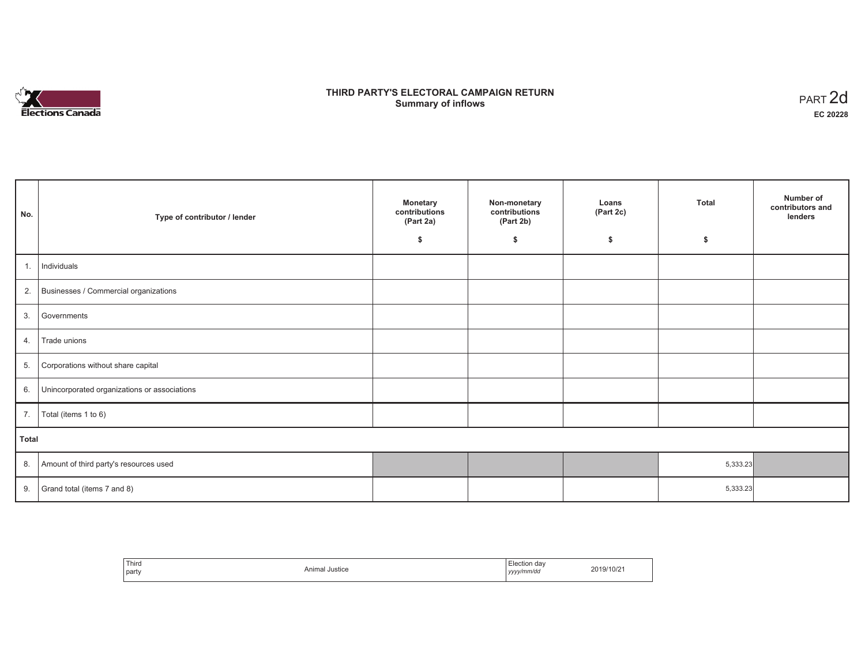

# **THIRD PARTY'S ELECTORAL CAMPAIGN RETURN S** ELECTORAL CAMPAIGN RETURN<br>Summary of inflows PART 2d

| No.   | Type of contributor / lender                 | <b>Monetary</b><br>contributions<br>(Part 2a) | Non-monetary<br>contributions<br>(Part 2b) | Loans<br>(Part 2c) | <b>Total</b> | Number of<br>contributors and<br>lenders |
|-------|----------------------------------------------|-----------------------------------------------|--------------------------------------------|--------------------|--------------|------------------------------------------|
|       |                                              | \$                                            | \$                                         | \$                 | \$           |                                          |
| 1.    | Individuals                                  |                                               |                                            |                    |              |                                          |
| 2.    | Businesses / Commercial organizations        |                                               |                                            |                    |              |                                          |
| 3.    | Governments                                  |                                               |                                            |                    |              |                                          |
| 4.    | Trade unions                                 |                                               |                                            |                    |              |                                          |
| 5.    | Corporations without share capital           |                                               |                                            |                    |              |                                          |
| 6.    | Unincorporated organizations or associations |                                               |                                            |                    |              |                                          |
| 7.    | Total (items 1 to 6)                         |                                               |                                            |                    |              |                                          |
| Total |                                              |                                               |                                            |                    |              |                                          |
| 8.    | Amount of third party's resources used       |                                               |                                            |                    | 5,333.23     |                                          |
| 9.    | Grand total (items 7 and 8)                  |                                               |                                            |                    | 5,333.23     |                                          |

| Third<br>party | Animal Justice | Election dav<br>' yyyy/mm/dd<br>,,,, | 2019/10/21 |
|----------------|----------------|--------------------------------------|------------|
|----------------|----------------|--------------------------------------|------------|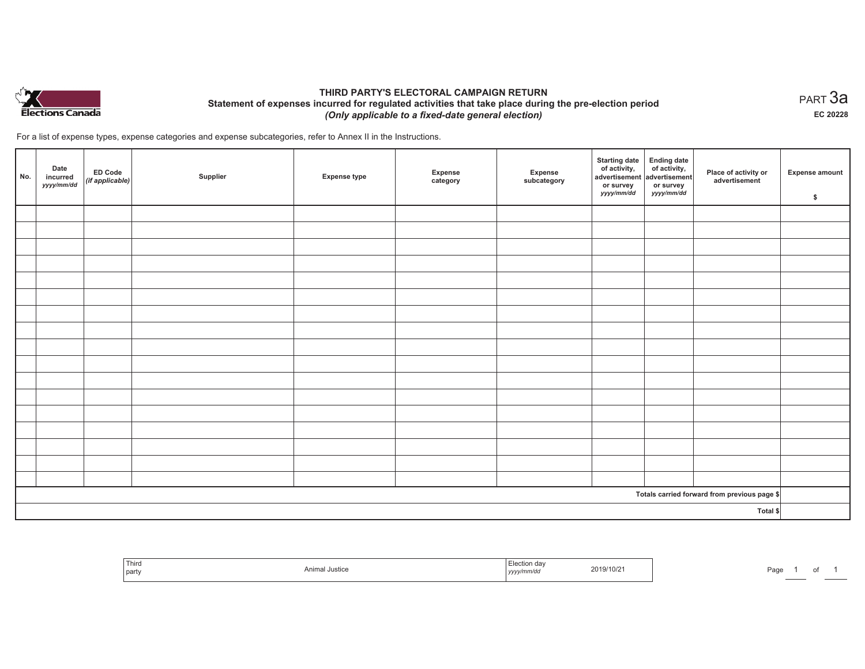

## **THIRD PARTY'S ELECTORAL CAMPAIGN RETURN Statement of expenses incurred for regulated activities that take place during the pre-election period**  *(Only applicable to a fixed-date general election)*

For a list of expense types, expense categories and expense subcategories, refer to Annex II in the Instructions.

| No.                                          | Date<br>incurred<br>yyyy/mm/dd | ED Code<br>$($ if applicable $)$ | Supplier | <b>Expense type</b> | Expense<br>category | Expense<br>subcategory | Starting date Ending date<br>of activity, of activity,<br>advertisement advertisement<br>or survey<br>yyyy/mm/dd | or survey<br>yyyy/mm/dd | Place of activity or<br>advertisement | <b>Expense amount</b><br>\$ |
|----------------------------------------------|--------------------------------|----------------------------------|----------|---------------------|---------------------|------------------------|------------------------------------------------------------------------------------------------------------------|-------------------------|---------------------------------------|-----------------------------|
|                                              |                                |                                  |          |                     |                     |                        |                                                                                                                  |                         |                                       |                             |
|                                              |                                |                                  |          |                     |                     |                        |                                                                                                                  |                         |                                       |                             |
|                                              |                                |                                  |          |                     |                     |                        |                                                                                                                  |                         |                                       |                             |
|                                              |                                |                                  |          |                     |                     |                        |                                                                                                                  |                         |                                       |                             |
|                                              |                                |                                  |          |                     |                     |                        |                                                                                                                  |                         |                                       |                             |
|                                              |                                |                                  |          |                     |                     |                        |                                                                                                                  |                         |                                       |                             |
|                                              |                                |                                  |          |                     |                     |                        |                                                                                                                  |                         |                                       |                             |
|                                              |                                |                                  |          |                     |                     |                        |                                                                                                                  |                         |                                       |                             |
|                                              |                                |                                  |          |                     |                     |                        |                                                                                                                  |                         |                                       |                             |
|                                              |                                |                                  |          |                     |                     |                        |                                                                                                                  |                         |                                       |                             |
|                                              |                                |                                  |          |                     |                     |                        |                                                                                                                  |                         |                                       |                             |
|                                              |                                |                                  |          |                     |                     |                        |                                                                                                                  |                         |                                       |                             |
|                                              |                                |                                  |          |                     |                     |                        |                                                                                                                  |                         |                                       |                             |
|                                              |                                |                                  |          |                     |                     |                        |                                                                                                                  |                         |                                       |                             |
|                                              |                                |                                  |          |                     |                     |                        |                                                                                                                  |                         |                                       |                             |
|                                              |                                |                                  |          |                     |                     |                        |                                                                                                                  |                         |                                       |                             |
|                                              |                                |                                  |          |                     |                     |                        |                                                                                                                  |                         |                                       |                             |
| Totals carried forward from previous page \$ |                                |                                  |          |                     |                     |                        |                                                                                                                  |                         |                                       |                             |
| Total \$                                     |                                |                                  |          |                     |                     |                        |                                                                                                                  |                         |                                       |                             |

| <sup>l</sup> Third<br>party | Animal Justice | Election day<br>2019/10/2<br>yyyy/mm/dd<br>-- | Page |
|-----------------------------|----------------|-----------------------------------------------|------|
|-----------------------------|----------------|-----------------------------------------------|------|

 $_{\sf PART}$ 3a **EC 20228**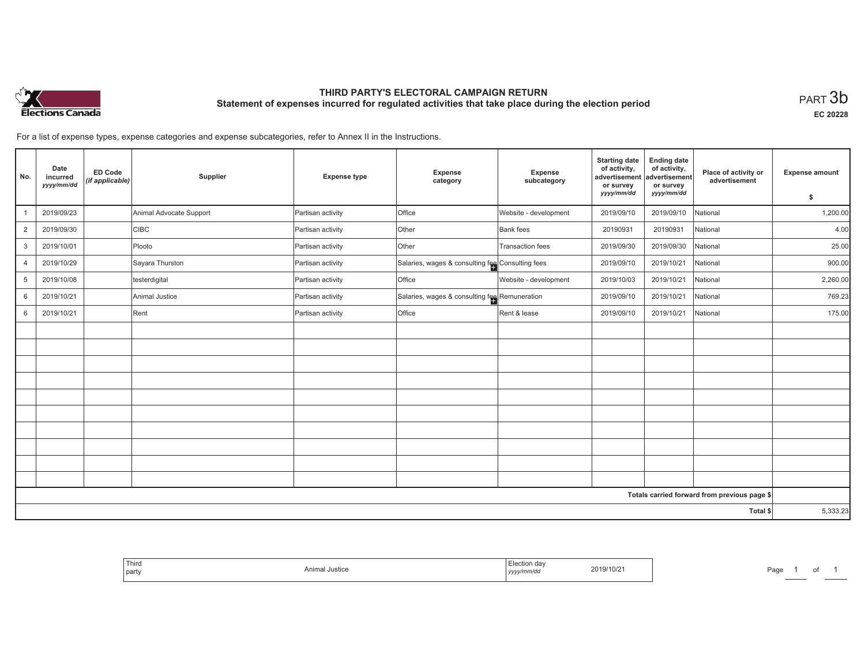

# **THIRD PARTY'S ELECTORAL CAMPAIGN RETURN Statement of expenses incurred for regulated activities that take place during the election period**<br>PART  $3\mathsf{b}$

**EC 20228**

For a list of expense types, expense categories and expense subcategories, refer to Annex II in the Instructions.

| No.                                          | Date<br>incurred<br>yyyy/mm/dd | <b>ED Code</b><br>(if applicable) | Supplier                | <b>Expense type</b> | Expense<br>category                              | <b>Expense</b><br>subcategory | <b>Starting date</b><br>of activity,<br>advertisement<br>or survey<br>yyyy/mm/dd | <b>Ending date</b><br>of activity,<br>advertisement<br>or survey<br>yyyy/mm/dd | Place of activity or<br>advertisement | <b>Expense amount</b> |
|----------------------------------------------|--------------------------------|-----------------------------------|-------------------------|---------------------|--------------------------------------------------|-------------------------------|----------------------------------------------------------------------------------|--------------------------------------------------------------------------------|---------------------------------------|-----------------------|
|                                              |                                |                                   |                         |                     |                                                  |                               |                                                                                  |                                                                                |                                       | \$                    |
|                                              | 2019/09/23                     |                                   | Animal Advocate Support | Partisan activity   | Office                                           | Website - development         | 2019/09/10                                                                       | 2019/09/10                                                                     | National                              | 1,200.00              |
| $\overline{2}$                               | 2019/09/30                     |                                   | <b>CIBC</b>             | Partisan activity   | Other                                            | <b>Bank</b> fees              | 20190931                                                                         | 20190931                                                                       | National                              | 4.00                  |
| 3                                            | 2019/10/01                     |                                   | Plooto                  | Partisan activity   | Other                                            | Transaction fees              | 2019/09/30                                                                       | 2019/09/30                                                                     | National                              | 25.00                 |
| $\overline{4}$                               | 2019/10/29                     |                                   | Sayara Thurston         | Partisan activity   | Salaries, wages & consulting fee Consulting fees |                               | 2019/09/10                                                                       | 2019/10/21                                                                     | National                              | 900.00                |
| 5                                            | 2019/10/08                     |                                   | testerdigital           | Partisan activity   | Office                                           | Website - development         | 2019/10/03                                                                       | 2019/10/21                                                                     | National                              | 2,260.00              |
| 6                                            | 2019/10/21                     |                                   | Animal Justice          | Partisan activity   | Salaries, wages & consulting fee Remuneration    |                               | 2019/09/10                                                                       | 2019/10/21                                                                     | National                              | 769.23                |
| 6                                            | 2019/10/21                     |                                   | Rent                    | Partisan activity   | Office                                           | Rent & lease                  | 2019/09/10                                                                       | 2019/10/21                                                                     | National                              | 175.00                |
|                                              |                                |                                   |                         |                     |                                                  |                               |                                                                                  |                                                                                |                                       |                       |
|                                              |                                |                                   |                         |                     |                                                  |                               |                                                                                  |                                                                                |                                       |                       |
|                                              |                                |                                   |                         |                     |                                                  |                               |                                                                                  |                                                                                |                                       |                       |
|                                              |                                |                                   |                         |                     |                                                  |                               |                                                                                  |                                                                                |                                       |                       |
|                                              |                                |                                   |                         |                     |                                                  |                               |                                                                                  |                                                                                |                                       |                       |
|                                              |                                |                                   |                         |                     |                                                  |                               |                                                                                  |                                                                                |                                       |                       |
|                                              |                                |                                   |                         |                     |                                                  |                               |                                                                                  |                                                                                |                                       |                       |
|                                              |                                |                                   |                         |                     |                                                  |                               |                                                                                  |                                                                                |                                       |                       |
|                                              |                                |                                   |                         |                     |                                                  |                               |                                                                                  |                                                                                |                                       |                       |
|                                              |                                |                                   |                         |                     |                                                  |                               |                                                                                  |                                                                                |                                       |                       |
| Totals carried forward from previous page \$ |                                |                                   |                         |                     |                                                  |                               |                                                                                  |                                                                                |                                       |                       |
|                                              |                                |                                   |                         |                     |                                                  |                               |                                                                                  |                                                                                | Total \$                              | 5,333.23              |

| 019/10/2 |
|----------|
|----------|

Page 1 of 1